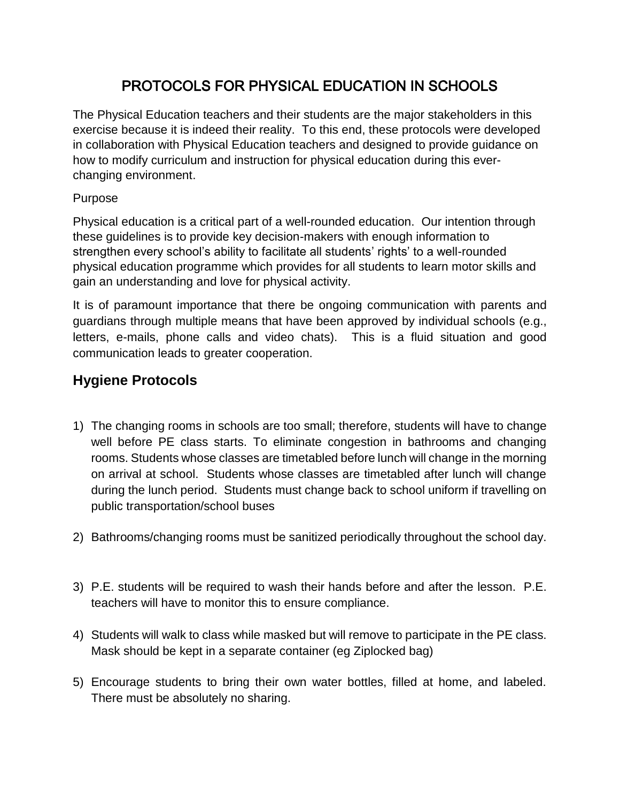# PROTOCOLS FOR PHYSICAL EDUCATION IN SCHOOLS

The Physical Education teachers and their students are the major stakeholders in this exercise because it is indeed their reality. To this end, these protocols were developed in collaboration with Physical Education teachers and designed to provide guidance on how to modify curriculum and instruction for physical education during this everchanging environment.

#### Purpose

Physical education is a critical part of a well-rounded education. Our intention through these guidelines is to provide key decision-makers with enough information to strengthen every school's ability to facilitate all students' rights' to a well-rounded physical education programme which provides for all students to learn motor skills and gain an understanding and love for physical activity.

It is of paramount importance that there be ongoing communication with parents and guardians through multiple means that have been approved by individual schools (e.g., letters, e-mails, phone calls and video chats). This is a fluid situation and good communication leads to greater cooperation.

# **Hygiene Protocols**

- 1) The changing rooms in schools are too small; therefore, students will have to change well before PE class starts. To eliminate congestion in bathrooms and changing rooms. Students whose classes are timetabled before lunch will change in the morning on arrival at school. Students whose classes are timetabled after lunch will change during the lunch period. Students must change back to school uniform if travelling on public transportation/school buses
- 2) Bathrooms/changing rooms must be sanitized periodically throughout the school day.
- 3) P.E. students will be required to wash their hands before and after the lesson. P.E. teachers will have to monitor this to ensure compliance.
- 4) Students will walk to class while masked but will remove to participate in the PE class. Mask should be kept in a separate container (eg Ziplocked bag)
- 5) Encourage students to bring their own water bottles, filled at home, and labeled. There must be absolutely no sharing.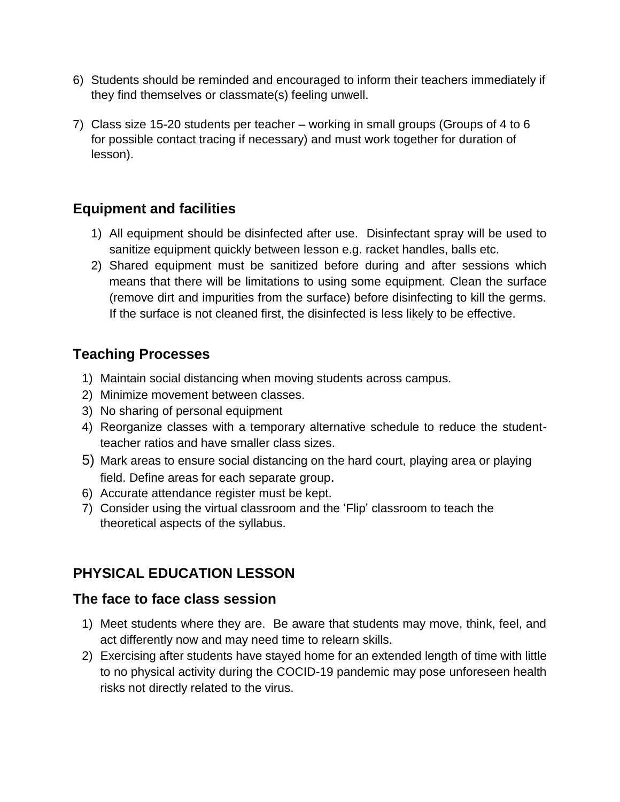- 6) Students should be reminded and encouraged to inform their teachers immediately if they find themselves or classmate(s) feeling unwell.
- 7) Class size 15-20 students per teacher working in small groups (Groups of 4 to 6 for possible contact tracing if necessary) and must work together for duration of lesson).

# **Equipment and facilities**

- 1) All equipment should be disinfected after use. Disinfectant spray will be used to sanitize equipment quickly between lesson e.g. racket handles, balls etc.
- 2) Shared equipment must be sanitized before during and after sessions which means that there will be limitations to using some equipment. Clean the surface (remove dirt and impurities from the surface) before disinfecting to kill the germs. If the surface is not cleaned first, the disinfected is less likely to be effective.

# **Teaching Processes**

- 1) Maintain social distancing when moving students across campus.
- 2) Minimize movement between classes.
- 3) No sharing of personal equipment
- 4) Reorganize classes with a temporary alternative schedule to reduce the studentteacher ratios and have smaller class sizes.
- 5) Mark areas to ensure social distancing on the hard court, playing area or playing field. Define areas for each separate group.
- 6) Accurate attendance register must be kept.
- 7) Consider using the virtual classroom and the 'Flip' classroom to teach the theoretical aspects of the syllabus.

# **PHYSICAL EDUCATION LESSON**

# **The face to face class session**

- 1) Meet students where they are. Be aware that students may move, think, feel, and act differently now and may need time to relearn skills.
- 2) Exercising after students have stayed home for an extended length of time with little to no physical activity during the COCID-19 pandemic may pose unforeseen health risks not directly related to the virus.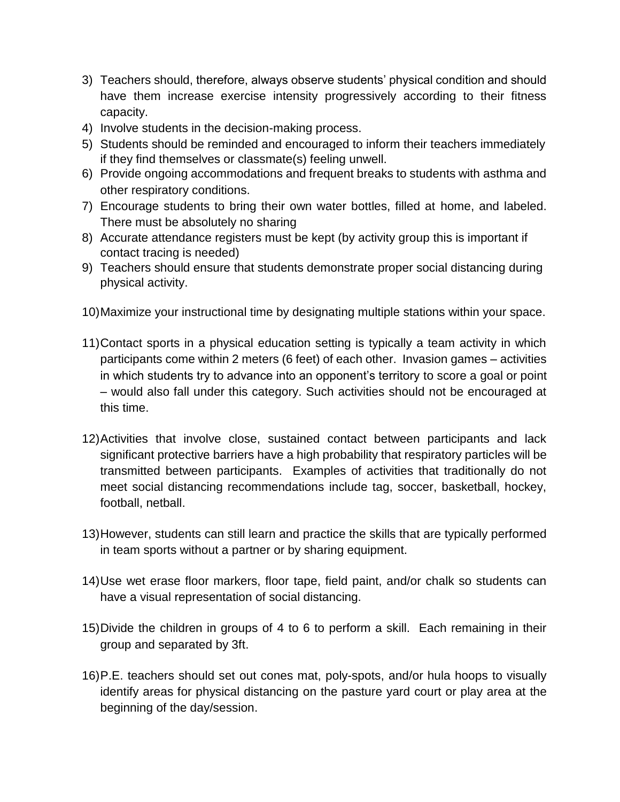- 3) Teachers should, therefore, always observe students' physical condition and should have them increase exercise intensity progressively according to their fitness capacity.
- 4) Involve students in the decision-making process.
- 5) Students should be reminded and encouraged to inform their teachers immediately if they find themselves or classmate(s) feeling unwell.
- 6) Provide ongoing accommodations and frequent breaks to students with asthma and other respiratory conditions.
- 7) Encourage students to bring their own water bottles, filled at home, and labeled. There must be absolutely no sharing
- 8) Accurate attendance registers must be kept (by activity group this is important if contact tracing is needed)
- 9) Teachers should ensure that students demonstrate proper social distancing during physical activity.
- 10)Maximize your instructional time by designating multiple stations within your space.
- 11)Contact sports in a physical education setting is typically a team activity in which participants come within 2 meters (6 feet) of each other. Invasion games – activities in which students try to advance into an opponent's territory to score a goal or point – would also fall under this category. Such activities should not be encouraged at this time.
- 12)Activities that involve close, sustained contact between participants and lack significant protective barriers have a high probability that respiratory particles will be transmitted between participants. Examples of activities that traditionally do not meet social distancing recommendations include tag, soccer, basketball, hockey, football, netball.
- 13)However, students can still learn and practice the skills that are typically performed in team sports without a partner or by sharing equipment.
- 14)Use wet erase floor markers, floor tape, field paint, and/or chalk so students can have a visual representation of social distancing.
- 15)Divide the children in groups of 4 to 6 to perform a skill. Each remaining in their group and separated by 3ft.
- 16)P.E. teachers should set out cones mat, poly-spots, and/or hula hoops to visually identify areas for physical distancing on the pasture yard court or play area at the beginning of the day/session.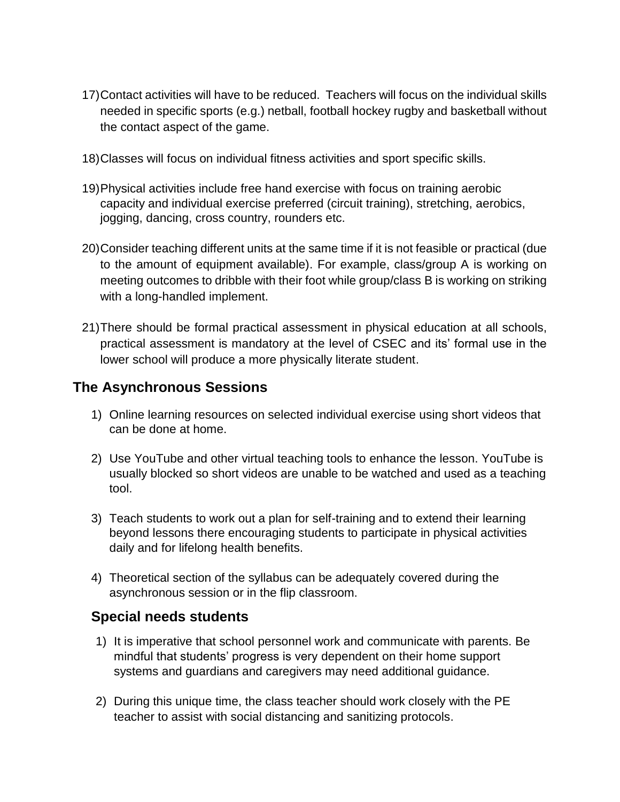- 17)Contact activities will have to be reduced. Teachers will focus on the individual skills needed in specific sports (e.g.) netball, football hockey rugby and basketball without the contact aspect of the game.
- 18)Classes will focus on individual fitness activities and sport specific skills.
- 19)Physical activities include free hand exercise with focus on training aerobic capacity and individual exercise preferred (circuit training), stretching, aerobics, jogging, dancing, cross country, rounders etc.
- 20)Consider teaching different units at the same time if it is not feasible or practical (due to the amount of equipment available). For example, class/group A is working on meeting outcomes to dribble with their foot while group/class B is working on striking with a long-handled implement.
- 21)There should be formal practical assessment in physical education at all schools, practical assessment is mandatory at the level of CSEC and its' formal use in the lower school will produce a more physically literate student.

#### **The Asynchronous Sessions**

- 1) Online learning resources on selected individual exercise using short videos that can be done at home.
- 2) Use YouTube and other virtual teaching tools to enhance the lesson. YouTube is usually blocked so short videos are unable to be watched and used as a teaching tool.
- 3) Teach students to work out a plan for self-training and to extend their learning beyond lessons there encouraging students to participate in physical activities daily and for lifelong health benefits.
- 4) Theoretical section of the syllabus can be adequately covered during the asynchronous session or in the flip classroom.

# **Special needs students**

- 1) It is imperative that school personnel work and communicate with parents. Be mindful that students' progress is very dependent on their home support systems and guardians and caregivers may need additional guidance.
- 2) During this unique time, the class teacher should work closely with the PE teacher to assist with social distancing and sanitizing protocols.